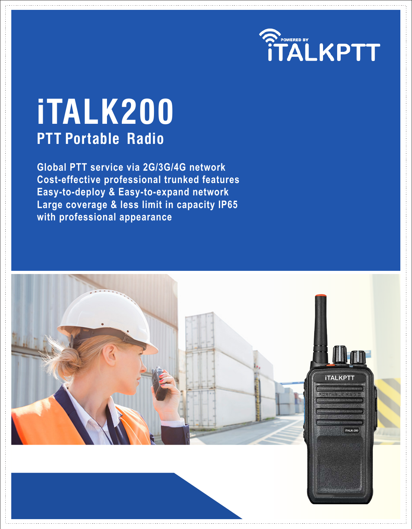

# **iTALK200 PTT Portable Radio**

**Global PTT service via 2G/3G/4G network Cost-effective professional trunked features Easy-to-deploy & Easy-to-expand network Large coverage & less limit in capacity IP65 with professional appearance**